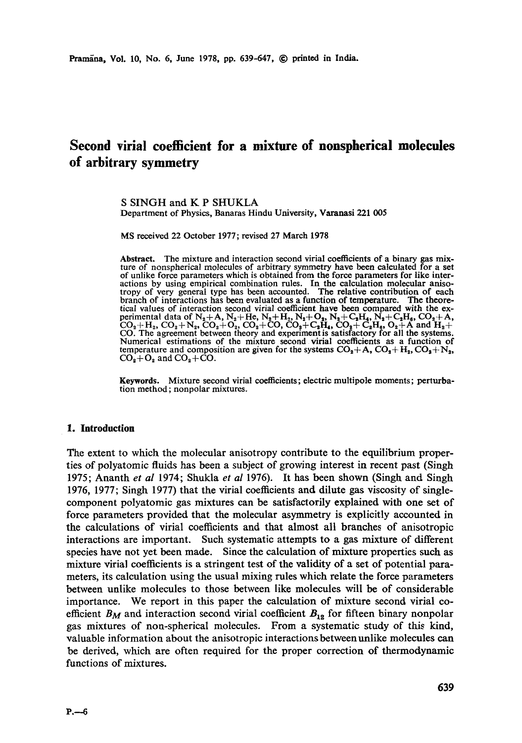## **Second virial coefficient for a mixture of nonspherical molecules of arbitrary symmetry**

S SINGH and K P SHUKLA Department of Physics, Banaras Hindu University, Varanasi 221 005

MS received 22 October 1977; revised 27 March 1978

Abstract. The mixture and interaction second virial coefficients of a binary gas mixture of nonspherical molecules of arbitrary symmetry have been calculated for a set of unlike force parameters which is obtained from the actions by using empirical combination rules. In the calculation molecular anisotropy of very general type has been accounted. The relative contribution of each branch of interactions has been evaluated as a function of te tical values of interaction second virial coefficient have been compared with the experimental data of  $N_2+A$ ,  $N_2+He$ ,  $N_2+H_2$ ,  $N_2+O_2$ ,  $N_2+C_2H_4$ ,  $N_2+C_2H_6$ ,  $CO_2+A$ ,  $CO_2 + H_2$ ,  $CO_2 + N_2$ ,  $CO_2 + O_2$ ,  $CO_2 + CO$ ,  $CO_2 + C_2H_4$ ,  $CO_2 + C_2H_4$ ,  $O_2 + A$  and  $H_2 + CO$ . The agreement between theory and experiment is satisfactory for all the systems. Numerical estimations of the mixture second virial coefficients as a function of temperature and composition are given for the systems  $CO_2 + A$ ,  $CO_2 + H_2$ ,  $CO_2 + N_2$ ,  $CO<sub>2</sub>+O<sub>2</sub>$  and  $CO<sub>2</sub>+CO$ .

Keywords. Mixture second virial coefficients; electric multipole moments; **perturbation** method; nonpolar mixtures.

## **1. Introduction**

The extent to which the molecular anisotropy contribute to the equilibrium properties of polyatomic fluids has been a subject of growing interest in recent past (Singh 1975; Ananth *et al* 1974; Shukla *et al* 1976). It has been shown (Singh and Singh 1976, 1977; Singh 1977) that the virial coefficients and dilute gas viscosity of singlecomponent polyatomic gas mixtures can be satisfactorily explained with one set of force parameters provided that the molecular asymmetry is explicitly accounted in the calculations of virial coefficients and that almost all branches of anisotropic interactions are important. Such systematic attempts to a gas mixture of different species have not yet been made. Since the calculation of mixture properties such as mixture virial coefficients is a stringent test of the validity of a set of potential parameters, its calculation using the usual mixing rules which relate the force parameters between unlike molecules to those between like molecules will be of considerable importance. We report in this paper the calculation of mixture second virial coefficient  $B_M$  and interaction second virial coefficient  $B_{12}$  for fifteen binary nonpolar gas mixtures of non-spherical molecules. From a systematic study of this kind, valuable information about the anisotropic interactions between unlike molecules can be derived, which are often required for the proper correction of thermodynamic functions of mixtures.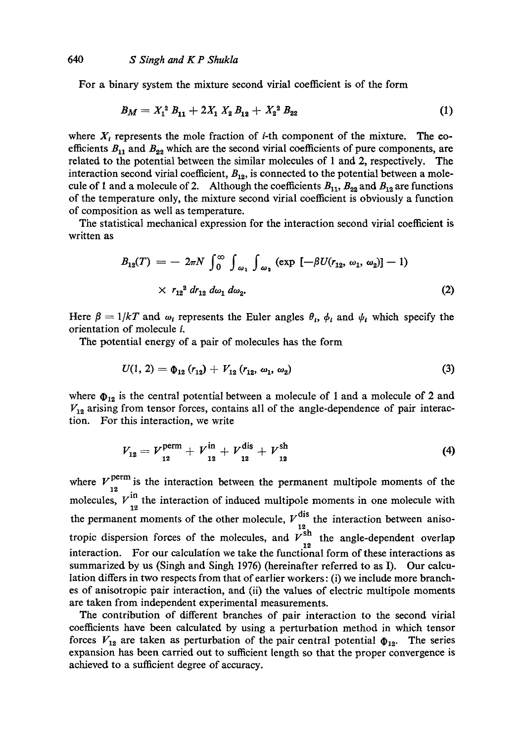For a binary system the mixture second virial coefficient is of the form

$$
B_M = X_1^2 B_{11} + 2X_1 X_2 B_{12} + X_2^2 B_{22} \tag{1}
$$

where  $X_t$  represents the mole fraction of *i*-th component of the mixture. The coefficients  $B_{11}$  and  $B_{22}$  which are the second virial coefficients of pure components, are related to the potential between the similar molecules of 1 and 2, respectively. The interaction second virial coefficient,  $B_{12}$ , is connected to the potential between a molecule of 1 and a molecule of 2. Although the coefficients  $B_{11}$ ,  $B_{22}$  and  $B_{12}$  are functions of the temperature only, the mixture second virial coefficient is obviously a function of composition as well as temperature.

The statistical mechanical expression for the interaction second virial coefficient is written as

$$
B_{12}(T) = -2\pi N \int_0^\infty \int_{\omega_1} \int_{\omega_2} (\exp\left[-\beta U(r_{12}, \omega_1, \omega_2)\right] - 1)
$$
  
 
$$
\times r_{12}^2 dr_{12} d\omega_1 d\omega_2.
$$
 (2)

Here  $\beta = 1/kT$  and  $\omega_i$  represents the Euler angles  $\theta_i$ ,  $\phi_i$  and  $\psi_i$  which specify the orientation of molecule i.

The potential energy of a pair of molecules has the form

$$
U(1, 2) = \Phi_{12} (r_{12}) + V_{12} (r_{12}, \omega_1, \omega_2) \tag{3}
$$

where  $\Phi_{12}$  is the central potential between a molecule of 1 and a molecule of 2 and  $V_{12}$  arising from tensor forces, contains all of the angle-dependence of pair interaction. For this interaction, we write

$$
V_{12} = V_{12}^{\text{perm}} + V_{12}^{\text{in}} + V_{12}^{\text{dis}} + V_{12}^{\text{sh}}
$$
 (4)

where  $V_{12}^{\text{perm}}$  is the interaction between the permanent multipole moments of the molecules,  $V_{12}^{in}$  the interaction of induced multipole moments in one molecule with the permanent moments of the other molecule,  $V^{\text{u}}$  the interaction between anisotropic dispersion forces of the molecules, and  $V_{12}^{51}$  the angle-dependent overlap interaction. For our calculation we take the functional form of these interactions as summarized by us (Singh and Singh 1976) (hereinafter referred to as I). Our calculation differs in two respects from that of earlier workers: (i) we include more branches of anisotropic pair interaction, and (ii) the values of electric multipole moments are taken from independent experimental measurements.

The contribution of different branches of pair interaction to the second virial coefficients have been calculated by using a perturbation method in which tensor forces  $V_{12}$  are taken as perturbation of the pair central potential  $\Phi_{12}$ . The series expansion has been carried out to sufficient length so that the proper convergence is achieved to a sufficient degree of accuracy.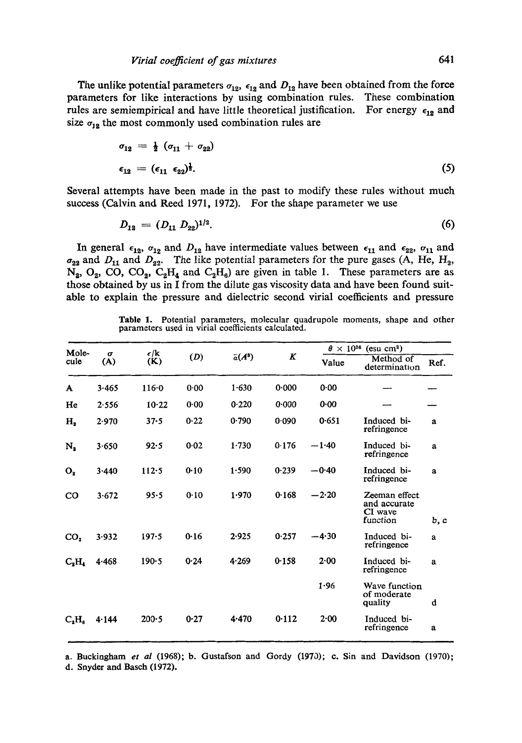The unlike potential parameters  $\sigma_{12}$ ,  $\epsilon_{12}$  and  $D_{12}$  have been obtained from the force parameters for like interactions by using combination rules. These combination rules are semiempirical and have little theoretical justification. For energy  $\epsilon_{12}$  and size  $\sigma_{12}$  the most commonly used combination rules are

$$
\sigma_{12} = \frac{1}{2} (\sigma_{11} + \sigma_{22})
$$
  
\n
$$
\epsilon_{12} = (\epsilon_{11} \epsilon_{22})^{\frac{1}{2}}.
$$
\n(5)

Several attempts have been made in the past to modify these rules without much success (Calvin and Reed 1971, 1972). For the shape parameter we use

$$
D_{12} = (D_{11} D_{22})^{1/2}.
$$
 (6)

In general  $\epsilon_{12}$ ,  $\sigma_{12}$  and  $D_{12}$  have intermediate values between  $\epsilon_{11}$  and  $\epsilon_{22}$ ,  $\sigma_{11}$  and  $\sigma_{22}$  and  $D_{11}$  and  $D_{22}$ . The like potential parameters for the pure gases (A, He, H<sub>2</sub>,  $N_a$ ,  $O_2$ ,  $CO_2$ ,  $CO_2$ ,  $C_2H_4$  and  $C_2H_6$ ) are given in table 1. These parameters are as those obtained by us in I from the dilute gas viscosity data and have been found suitable to explain the pressure and dielectric second virial coefficients and pressure

|  | <b>Table 1.</b> Potential parameters, molecular quadrupole moments, shape and other |  |  |  |
|--|-------------------------------------------------------------------------------------|--|--|--|
|  | parameters used in virial coefficients calculated.                                  |  |  |  |

| Mole-<br>$\sigma$ |       |                      |      |                |           | $\theta \times 10^{26}$ (esu cm <sup>2</sup> ) |                                                      |              |
|-------------------|-------|----------------------|------|----------------|-----------|------------------------------------------------|------------------------------------------------------|--------------|
| cule              | (A)   | $\epsilon$ /k<br>(K) | (D)  | $\bar{a}(A^3)$ | $\pmb{K}$ | Value                                          | Method of<br>determination                           | Ref.         |
| A                 | 3.465 | $116 - 0$            | 0.00 | 1.630          | 0.000     | 0.00                                           |                                                      |              |
| He                | 2.556 | $10-22$              | 0.00 | 0.220          | 0.000     | 0.00                                           |                                                      |              |
| н,                | 2.970 | $37 - 5$             | 0.22 | 0.790          | 0.090     | 0.651                                          | Induced bi-<br>refringence                           | a            |
| $N_{2}$           | 3.650 | 92.5                 | 0.02 | 1.730          | 0.176     | $-1.40$                                        | Induced bi-<br>refringence                           | a            |
| O <sub>2</sub>    | 3.440 | 112.5                | 0.10 | 1.590          | 0.239     | $-0.40$                                        | Induced bi-<br>refringence                           | $\mathbf{a}$ |
| C <sub>0</sub>    | 3.672 | 95.5                 | 0.10 | 1.970          | 0.168     | $-2.20$                                        | Zeeman effect<br>and accurate<br>CI wave<br>function | b, c         |
| CO <sub>2</sub>   | 3.932 | 197.5                | 0.16 | 2.925          | 0.257     | $-4.30$                                        | Induced bi-<br>refringence                           | $\mathbf{a}$ |
| $C_2H_4$          | 4.468 | $190 - 5$            | 0.24 | 4.269          | 0.158     | 2.00                                           | Induced bi-<br>refringence                           | a            |
|                   |       |                      |      |                |           | 1.96                                           | Wave function<br>of moderate<br>quality              | d            |
| $C_{a}H_{a}$      | 4.144 | $200 - 5$            | 0.27 | 4.470          | 0.112     | $2 - 00$                                       | Induced bi-<br>refringence                           | a            |

a. Buckingham *et al* (1968); b. Gustafson and Gordy (1970); c. Sin and Davidson (1970);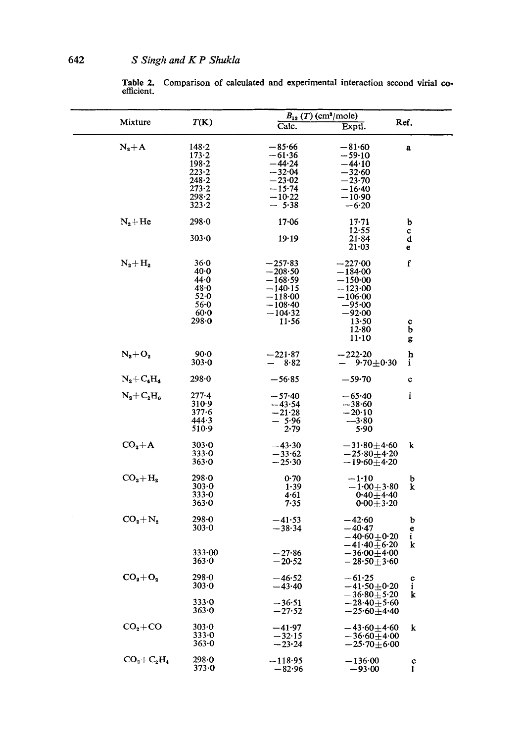Table 2. Comparison of calculated and experimental interaction second virial coefficient.

|                 |                     | $B_{12} (T) (cm3/mole)$ |                                               |                          |
|-----------------|---------------------|-------------------------|-----------------------------------------------|--------------------------|
| Mixture         | T(K)                | Calc.                   | Exptl.                                        | Ref.                     |
| $N_2+A$         | $148 - 2$           | $-85.66$                | $-81.60$                                      | a                        |
|                 | 173.2               | −61∙36                  | $-59.10$                                      |                          |
|                 | $198 - 2$           | $-44.24$                | $-44.10$                                      |                          |
|                 | $223 - 2$           | $-32.04$                | $-32.60$                                      |                          |
|                 | 248.2               | $-23.02$                | $-23 - 70$                                    |                          |
|                 | $273 - 2$           | $-15.74$                |                                               |                          |
|                 | 298.2               | $-10.22$                | $-16 - 40$                                    |                          |
|                 | 323.2               | $-5.38$                 | — 10-90<br>$-6.20$                            |                          |
| $N_2 + He$      | 298.0               | $17 - 06$               | $17 - 71$                                     | b                        |
|                 |                     |                         | 12.55                                         | c                        |
|                 | $303 - 0$           | 19.19                   | $21 - 84$<br>$21 - 03$                        | d<br>e                   |
| $N_2 + H_2$     | 36.0                | $-257.83$               | $-227.00$                                     | f                        |
|                 | 40.0                | $-208·50$               | $-184\hspace{-0.15cm}\cdot\hspace{-0.15cm}00$ |                          |
|                 | 44.0                | $-168.59$               | $-150.00$                                     |                          |
|                 | 48.0                | −140·15                 | $-123\!\cdot\!00$                             |                          |
|                 |                     |                         |                                               |                          |
|                 | 52.0                | $-118.00$               | $-106·00$                                     |                          |
|                 | 56.0                | $-108·40$               | $-95.00$                                      |                          |
|                 | 60.0                | $-104.32$               | $-92.00$                                      |                          |
|                 | $298 - 0$           | $11 - 56$               | 13.50                                         | c                        |
|                 |                     |                         | 12.80                                         | b                        |
|                 |                     |                         | $11 - 10$                                     | g                        |
| $N_2 + O_2$     | $90-0$<br>$303 - 0$ | $-221.87$<br>8.82       | $-222.20$<br>$9.70 + 0.30$                    | $\ddot{\mathbf{p}}$<br>i |
| $N_2+C_4H_4$    | $298 - 0$           | $-56.85$                | $-59-70$                                      | $\mathbf c$              |
| $N_2 + C_2H_6$  | $277-4$             | $-57.40$                | $-65.40$                                      | i                        |
|                 | 310.9               |                         |                                               |                          |
|                 |                     | —43∙54                  | $-38.60$                                      |                          |
|                 | $377 - 6$           | $-21.28$                | $-20.10$                                      |                          |
|                 | 444.3               | $-5.96$                 | $-3.80$                                       |                          |
|                 | $510-9$             | 2.79                    | 5.90                                          |                          |
| $CO2+A$         | $303 - 0$           | $-43.30$                | $-31.80 + 4.60$                               | k                        |
|                 | 333.0               | $-33.62$                | $-25.80 + 4.20$                               |                          |
|                 | 363.0               | $-25.30$                | $-19.60 + 4.20$                               |                          |
| $CO_2 + H_2$    | 298.0               | 0.70                    | $-1:10$                                       | b                        |
|                 | 303.0               | 1.39                    | $-1.00 + 3.80$                                | k                        |
|                 | 333.0               | 4.61                    | $0.40 + 4.40$                                 |                          |
|                 | 363.0               | 7.35                    | $0.00 + 3.20$                                 |                          |
| $CO_2 + N_2$    | $298 - 0$           | $-41.53$                | $-42.60$                                      | b                        |
|                 | 303.0               | $-38.34$                | $-40.47$                                      |                          |
|                 |                     |                         |                                               | $\frac{e}{i}$            |
|                 |                     |                         | $-40.60 + 0.20$                               |                          |
|                 |                     |                         | $-41.40 \pm 6.20$                             | k                        |
|                 | 333.00              | $-27.86$                | $-36.00 + 4.00$                               |                          |
|                 | 363.0               | $-20.52$                | $-28.50 + 3.60$                               |                          |
| $CO2+O2$        | 298∙0               | $-46.52$                | $-61.25$                                      |                          |
|                 | 303.0               | $-43.40$                | $-41.50 + 0.20$                               | $\frac{c}{i}$            |
|                 |                     |                         | $-36.80 + 5.20$                               | k                        |
|                 | 333.0               |                         |                                               |                          |
|                 | 363.0               | $-36.51$<br>$-27.52$    | $-28.40 + 5.60$<br>$-25.60 + 4.40$            |                          |
|                 |                     |                         |                                               |                          |
| $CO2+CO$        | 303.0               | –41.97                  | $-43.60 + 4.60$                               | k                        |
|                 | 333.0               | $-32.15$                | $-36.60 + 4.00$                               |                          |
|                 | 363.0               | $-23.24$                | $-25.70\!\pm\!6.00$                           |                          |
| $CO_2 + C_2H_4$ | 298.0               | $-118.95$               | $-136.00$                                     | c                        |
|                 | $373 - 0$           | $-82.96$                | $-93.00$                                      | I                        |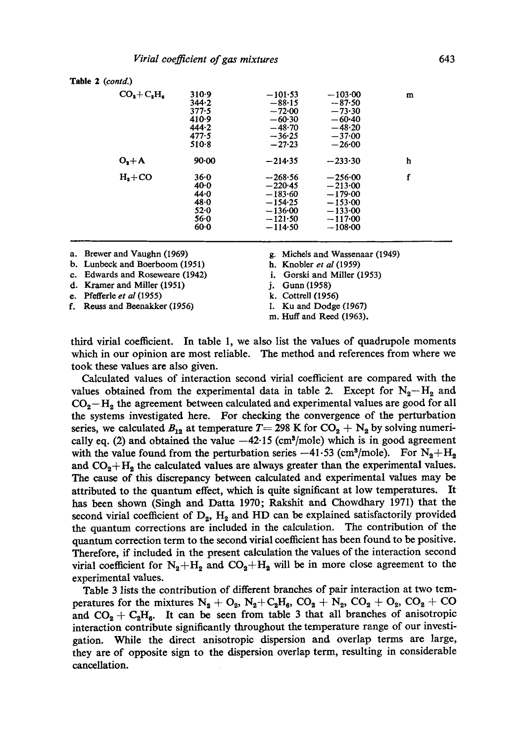| Table 2 (contd.)  |                                                                          |                                                                                         |                                                                                           |   |
|-------------------|--------------------------------------------------------------------------|-----------------------------------------------------------------------------------------|-------------------------------------------------------------------------------------------|---|
| $CO3+C2H6$        | 310.9<br>344.2<br>$377 - 5$<br>410-9<br>444.2<br>$477 - 5$<br>$510-8$    | $-101.53$<br>$-88.15$<br>$-72.00$<br>$-60.30$<br>$-48.70$<br>$-36.25$<br>$-27.23$       | $-103.00$<br>$-87.50$<br>$-73.30$<br>$-60.40$<br>$-48.20$<br>$-37.00$<br>$-26.00$         | m |
| $O_{\rm s}+\rm A$ | 90.00                                                                    | $-214.35$                                                                               | $-233.30$                                                                                 | h |
| $H_{2}+CO$        | $36 - 0$<br>$40-0$<br>$44 - 0$<br>$48 - 0$<br>$52 - 0$<br>56.0<br>$60-0$ | $-268.56$<br>$-220-45$<br>$-183.60$<br>$-154.25$<br>$-136.00$<br>$-121.50$<br>$-114.50$ | $-256.00$<br>$-213.00$<br>$-179.00$<br>$-153.00$<br>$-133.00$<br>$-117.00$<br>$-108 - 00$ | f |

- b. Lunbeck and Boerboom (1951) h. Knobler *et al* (1959)
- e. Edwards and Roseweare (1942) i. Gorski and Miller (1953)
- d. Kramer and Miller (1951) j. Gunn (1958)
- 
- e. Pfefferle *et al* (1955) k. Cottrell (1956)<br> **f.** Reuss and Beenakker (1956) l. Ku and Dodge (1967) f. Reuss and Beenakker (1956)
- a. Brewer and Vaughn (1969) g. Michels and Wassenaar (1949)
	-
	-
	-
	-
	-
	- m. Huff and Reed (1963).

third virial coefficient. In table 1, we also list the values of quadrupole moments which in our opinion are most reliable. The method and references from where we took these values are also given.

Calculated values of interaction second virial coefficient are compared with the values obtained from the experimental data in table 2. Except for  $N_2-H_2$  and  $CO<sub>2</sub>-H<sub>2</sub>$  the agreement between calculated and experimental values are good for all the systems investigated here. For checking the convergence of the perturbation series, we calculated  $B_{12}$  at temperature T = 298 K for CO<sub>2</sub> + N<sub>2</sub> by solving numerically eq. (2) and obtained the value  $-42.15$  (cm<sup>3</sup>/mole) which is in good agreement with the value found from the perturbation series  $-41.53$  (cm<sup>3</sup>/mole). For  $N_2 + N_2$ and  $CO<sub>2</sub>+H<sub>2</sub>$  the calculated values are always greater than the experimental values. The cause of this discrepancy between calculated and experimental values may be attributed to the quantum effect, which is quite significant at low temperatures. It has been shown (Singh and Datta 1970; Rakshit and Chowdhary 1971) that the second virial coefficient of  $D_2$ ,  $H_2$  and HD can be explained satisfactorily provided the quantum corrections are included in the calculation. The contribution of the quantum correction term to the second virial coefficient has been found to be positive. Therefore, if included in the present calculation the values of the interaction second virial coefficient for  $N_2+H_2$  and  $CO_2+H_2$  will be in more close agreement to the experimental values.

Table 3 lists the contribution of different branches of pair interaction at two temperatures for the mixtures  $N_2 + O_2$ ,  $N_2 + C_2H_6$ ,  $CO_2 + N_2$ ,  $CO_2 + O_2$ ,  $CO_2 + CO$ and  $CO_2 + C_2H_6$ . It can be seen from table 3 that all branches of anisotropic interaction contribute significantly throughout the temperature range of our investigation. While the direct anisotropic dispersion and overlap terms are large, they are of opposite sign to the dispersion overlap term, resulting in considerable cancellation.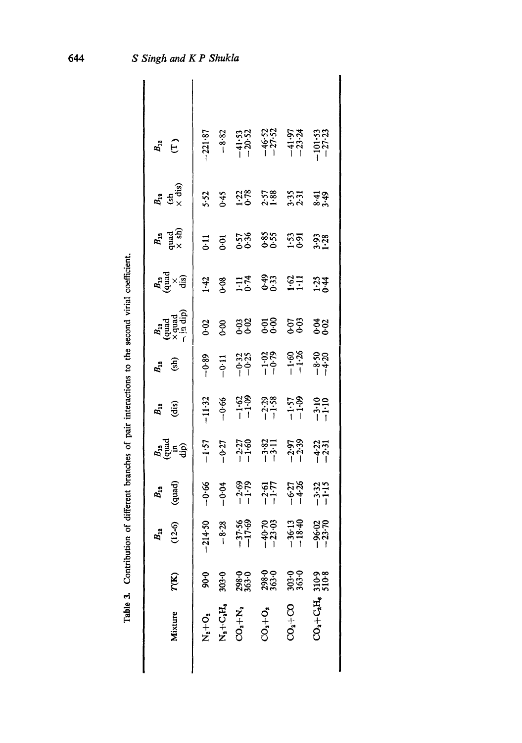| $B_{12}$                                            |           |                             |                               |                                                                      | $\begin{array}{c} 37.33 \\ -3.32 \\ -4.33 \\ -1.53 \\ -1.53 \\ -1.53 \\ -1.53 \\ -1.53 \\ -1.53 \\ -1.53 \\ -1.53 \\ -1.53 \\ -1.53 \\ -1.53 \\ -1.53 \\ -1.53 \\ -1.53 \\ -1.53 \\ -1.53 \\ -1.53 \\ -1.53 \\ -1.53 \\ -1.53 \\ -1.53 \\ -1.53 \\ -1.53 \\ -1.53 \\ -1.53 \\ -1.53 \\ -1.53 \\ -1.53 \\ -1.53 \\ -1.53 \\ -1.53 \\ -1.53 \\ -1$ |                 |
|-----------------------------------------------------|-----------|-----------------------------|-------------------------------|----------------------------------------------------------------------|--------------------------------------------------------------------------------------------------------------------------------------------------------------------------------------------------------------------------------------------------------------------------------------------------------------------------------------------------|-----------------|
| $B_{12}$<br>(sh<br>$\times$ dis)                    | 5.52      |                             |                               |                                                                      | $3.38$<br>$1.38$<br>$2.58$<br>$3.5$<br>$3.5$<br>$3.5$<br>$3.5$<br>$3.5$                                                                                                                                                                                                                                                                          |                 |
| $B_{\rm 18}$ quad $\times$ sh)                      |           | $\frac{1}{6}$ $\frac{5}{6}$ |                               |                                                                      | 578 585 595 598                                                                                                                                                                                                                                                                                                                                  |                 |
| $\mathbf{a}_{\text{rad}}^{\text{A}}$                |           | $\frac{3}{4}$ 8             |                               |                                                                      | $1.74$ $0.43$ $0.63$ $0.74$ $1.23$                                                                                                                                                                                                                                                                                                               |                 |
| $B_{1a}$<br>(quad<br>$\times$ quad<br>$\times$ quad | 0.02      |                             |                               |                                                                      | 8 32 53 53                                                                                                                                                                                                                                                                                                                                       | ಕ್ಷಿ            |
| $B_{12}$<br>(sh)                                    |           |                             |                               |                                                                      | $-6.33$<br>$-6.33$<br>$-6.33$<br>$-6.33$<br>$-6.33$<br>$-6.33$<br>$-6.33$<br>$-6.33$<br>$-6.33$<br>$-6.33$<br>$-6.33$<br>$-6.33$<br>$-6.33$                                                                                                                                                                                                      |                 |
| <b>A</b> <sub>1</sub> (ii)                          |           | $-11.32$<br>$-0.66$         |                               |                                                                      | $-1.59$<br>$-1.38$<br>$-1.57$<br>$-1.59$<br>$-1.59$<br>$-1.59$<br>$-1.19$                                                                                                                                                                                                                                                                        |                 |
| $B_{13}^{\rm H}$ dip)                               | $-1.57$   | $-0.27$                     |                               |                                                                      | $\begin{array}{r} -2.27 \\ -1.60 \\ -3.82 \\ -3.11 \\ -2.97 \\ -2.39 \end{array}$                                                                                                                                                                                                                                                                | $-4.22$         |
| $B_{12}$<br>(quad)                                  | $-0.66$   | $-0.04$                     |                               |                                                                      | $\frac{-2.69}{-1.79}$<br>$\frac{-2.51}{-1.77}$<br>$\frac{-6.27}{-6.27}$<br>$\frac{-6.27}{-6.26}$                                                                                                                                                                                                                                                 |                 |
| $B_{12}$<br>(12-6)                                  | ۱         |                             |                               | $-214.50$<br>$-8.28$<br>$-37.56$<br>$-17.69$<br>$-40.70$<br>$-40.70$ | $-36.13$<br>$-18.40$<br>$-96.02$<br>$-23.70$                                                                                                                                                                                                                                                                                                     |                 |
| 7(K)                                                | 0.06      | 303-0                       | 298.0<br>363.0                | 298.0<br>363.0                                                       | 303-0                                                                                                                                                                                                                                                                                                                                            | 310-9           |
| Mixture                                             | $N_a+O_a$ | $N_a + C_a H_a$             | $\mathbf{O_2} + \mathbf{N_3}$ | 20, 40, 0                                                            | $20^{1} + 20$                                                                                                                                                                                                                                                                                                                                    | $2O_3 + C_2H_6$ |
|                                                     |           |                             |                               |                                                                      |                                                                                                                                                                                                                                                                                                                                                  |                 |

644

Table 3. Contribution of different branches of pair interactions to the second virial coefficient.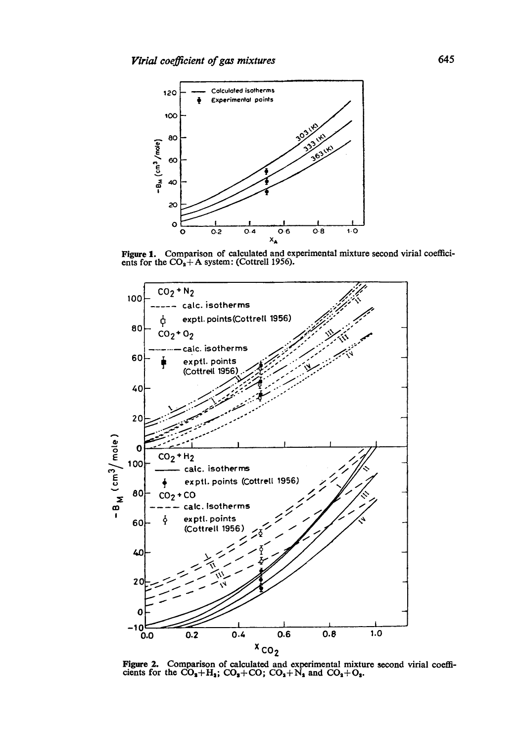

Figure 1. Comparison of calculated and experimental mixture second virial coefficients for the  $CO_2 + A$  system: (Cottrell 1956).



Figure 2. Comparison of calculated and experimental mixture second virial coefficients for the  $CO_3 + H_3$ ;  $CO_3 + CO$ ;  $CO_4 + N_3$  and  $CO_2 + O_3$ .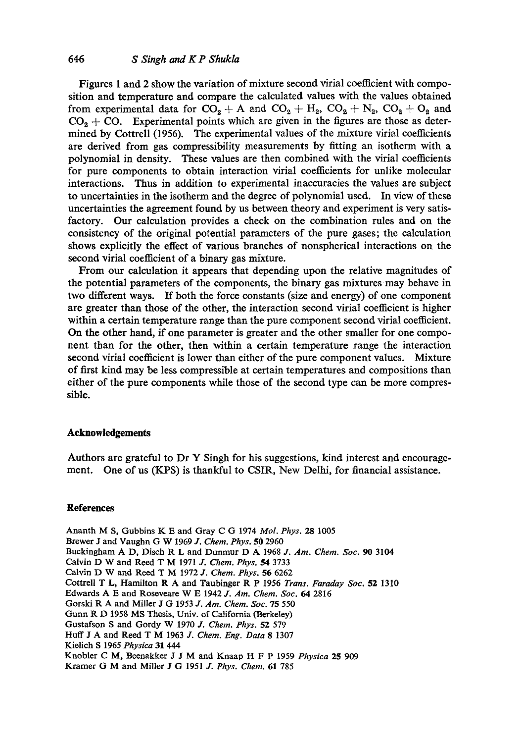Figures 1 and 2 show the variation of mixture second virial coefficient with composition and temperature and compare the calculated values with the values obtained from experimental data for  $CO_2 + A$  and  $CO_2 + H_2$ ,  $CO_2 + N_2$ ,  $CO_2 + O_2$  and  $CO<sub>9</sub> + CO<sub>2</sub>$ . Experimental points which are given in the figures are those as determined by Cottrell (1956). The experimental values of the mixture virial coefficients are derived from gas compressibility measurements by fitting an isotherm with a polynomial in density. These values are then combined with the virial coefficients for pure components to obtain interaction virial coefficients for unlike molecular interactions. Thus in addition to experimental inaccuracies the values are subject to uncertainties in the isotherm and the degree of polynomial used. In view of these uncertainties the agreement found by us between theory and experiment is very satisfactory. Our calculation provides a check on the combination rules and on the consistency of the original potential parameters of the pure gases; the calculation shows explicitly the effect of various branches of nonspherical interactions on the second virial coefficient of a binary gas mixture.

From our calculation it appears that depending upon the relative magnitudes of the potential parameters of the components, the binary gas mixtures may behave in two different ways. If both the force constants (size and energy) of one component are greater than those of the other, the interaction second virial coefficient is higher within a certain temperature range than the pure component second virial coefficient. On the other hand, if one parameter is greater and the other smaller for one component than for the other, then within a certain temperature range the interaction second virial coefficient is lower than either of the pure component values. Mixture of first kind may be less compressible at certain temperatures and compositions than either of the pure components while those of the second type can be more compressible.

## **Acknowledgements**

Authors are grateful to Dr Y Singh for his suggestions, kind interest and encouragement. One of us (KPS) is thankful to CSIR, New Delhi, for financial assistance.

## **References**

Ananth M S, Gubbins K E and Gray C G 1974 *Mol. Phys.* 28 1005 Brewer J and Vaughn G W 1969 *J. Chem. Phys.* 50 2960 Buckingham A D, Disch R L and Dunmur D A( 1968 *J. Am. Chem. Soc.* 90 3104 Calvin D W and Reed T M 1971 *d. Chem. Phys.* 54 3733 Calvin D W and Reed T M 1972 *J. Chem. Phys.* 56 6262 Cottrell T L, Hamilton R A and Taubinger R P 1956 *Trans. Faraday Soc.* 52 1310 Edwards A E and Roseveare W E 1942 *J. Am. Chem. Soc. 64* 2816 Gorski R A and Miller J G 1953 *J. Am. Chem. Soc.* 75 550 Gunn R D 1958 MS Thesis, Univ. of California (Berkeley) Gustafson S and Gordy W 1970 *J. Chem. Phys.* 52 579 Huff J A and Reed T M 1963 J. *Chem. Eng. Data* 8 1307 Kielieh S 1965 *Physica* 31 444 Knobler C M, Beenakker J J M and Knaap H F P 1959 *Physics* 25 909 Kramer G M and Miller J G 1951 *J. Phys. Chem.* 61 785